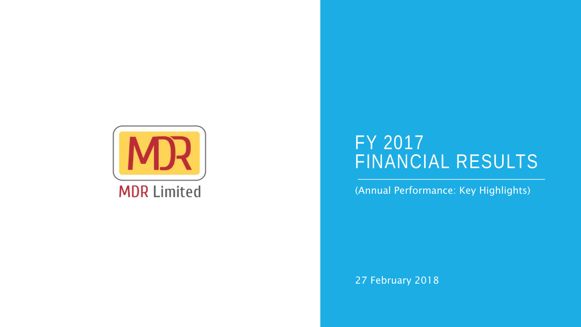

#### FY 2017 FINANCIAL RESULTS

(Annual Performance: Key Highlights)

27 February 2018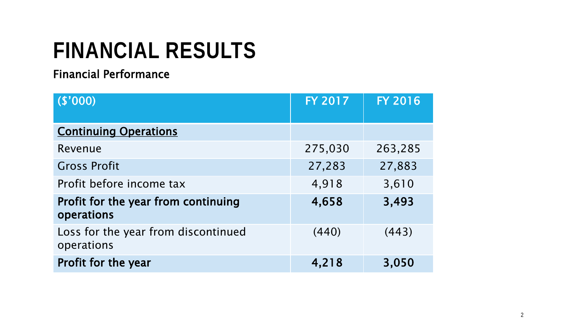#### Financial Performance

| (\$'000)                                          | <b>FY 2017</b> | <b>FY 2016</b> |
|---------------------------------------------------|----------------|----------------|
| <b>Continuing Operations</b>                      |                |                |
| Revenue                                           | 275,030        | 263,285        |
| <b>Gross Profit</b>                               | 27,283         | 27,883         |
| Profit before income tax                          | 4,918          | 3,610          |
| Profit for the year from continuing<br>operations | 4,658          | 3,493          |
| Loss for the year from discontinued<br>operations | (440)          | (443)          |
| Profit for the year                               | 4,218          | 3,050          |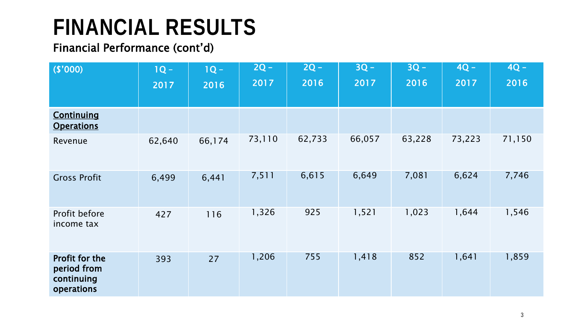#### Financial Performance (cont'd)

| (\$'000)                                                  | $1Q -$<br>2017 | $1Q -$<br>2016 | $2Q -$<br>2017 | $2Q -$<br>2016 | $3Q -$<br>2017 | $3Q -$<br>2016 | $4Q -$<br>2017 | $4Q -$<br>2016 |
|-----------------------------------------------------------|----------------|----------------|----------------|----------------|----------------|----------------|----------------|----------------|
| <b>Continuing</b><br><b>Operations</b>                    |                |                |                |                |                |                |                |                |
| Revenue                                                   | 62,640         | 66,174         | 73,110         | 62,733         | 66,057         | 63,228         | 73,223         | 71,150         |
| <b>Gross Profit</b>                                       | 6,499          | 6,441          | 7,511          | 6,615          | 6,649          | 7,081          | 6,624          | 7,746          |
| Profit before<br>income tax                               | 427            | 116            | 1,326          | 925            | 1,521          | 1,023          | 1,644          | 1,546          |
| Profit for the<br>period from<br>continuing<br>operations | 393            | 27             | 1,206          | 755            | 1,418          | 852            | 1,641          | 1,859          |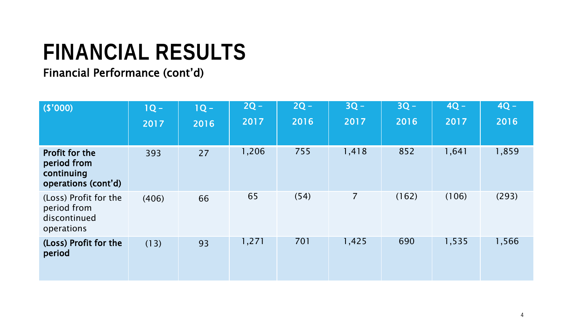#### Financial Performance (cont'd)

| (\$'000)                                                           | $1Q -$<br>2017 | $1Q -$<br>2016 | $2Q -$<br>2017 | $2Q -$<br>2016 | $3Q -$<br>2017 | $3Q -$<br>2016 | $4Q -$<br>2017 | $4Q -$<br>2016 |
|--------------------------------------------------------------------|----------------|----------------|----------------|----------------|----------------|----------------|----------------|----------------|
| Profit for the<br>period from<br>continuing<br>operations (cont'd) | 393            | 27             | 1,206          | 755            | 1,418          | 852            | 1,641          | 1,859          |
| (Loss) Profit for the<br>period from<br>discontinued<br>operations | (406)          | 66             | 65             | (54)           | $\overline{7}$ | (162)          | (106)          | (293)          |
| (Loss) Profit for the<br>period                                    | (13)           | 93             | 1,271          | 701            | 1,425          | 690            | 1,535          | 1,566          |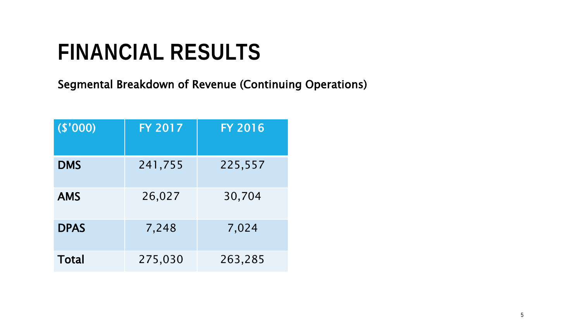Segmental Breakdown of Revenue (Continuing Operations)

| (\$'000)     | <b>FY 2017</b> | <b>FY 2016</b> |
|--------------|----------------|----------------|
| <b>DMS</b>   | 241,755        | 225,557        |
| <b>AMS</b>   | 26,027         | 30,704         |
| <b>DPAS</b>  | 7,248          | 7,024          |
| <b>Total</b> | 275,030        | 263,285        |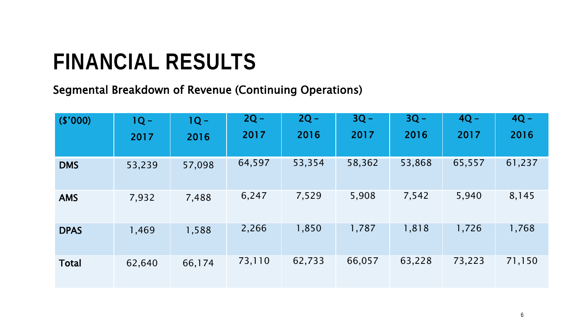Segmental Breakdown of Revenue (Continuing Operations)

| (\$'000)     | $1Q -$ | $1Q -$ | $2Q -$ | $2Q -$ | $3Q -$ | $3Q -$ | $4Q -$ | $4Q -$ |
|--------------|--------|--------|--------|--------|--------|--------|--------|--------|
|              | 2017   | 2016   | 2017   | 2016   | 2017   | 2016   | 2017   | 2016   |
| <b>DMS</b>   | 53,239 | 57,098 | 64,597 | 53,354 | 58,362 | 53,868 | 65,557 | 61,237 |
| <b>AMS</b>   | 7,932  | 7,488  | 6,247  | 7,529  | 5,908  | 7,542  | 5,940  | 8,145  |
| <b>DPAS</b>  | 1,469  | 1,588  | 2,266  | 1,850  | 1,787  | 1,818  | 1,726  | 1,768  |
| <b>Total</b> | 62,640 | 66,174 | 73,110 | 62,733 | 66,057 | 63,228 | 73,223 | 71,150 |